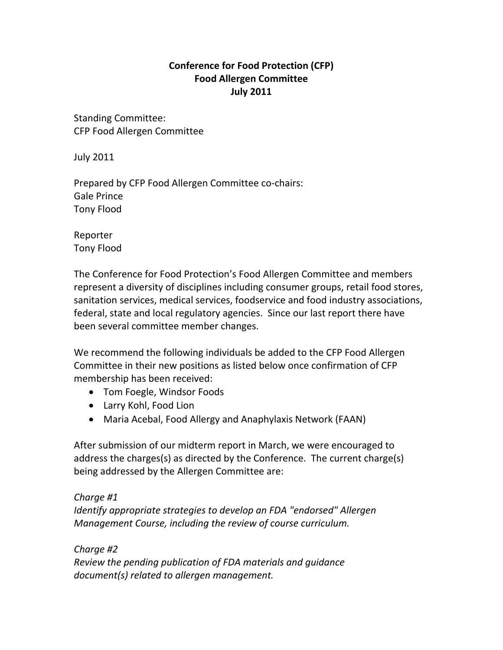# **Conference for Food Protection (CFP) Food Allergen Committee July 2011**

Standing Committee: CFP Food Allergen Committee

July 2011

Prepared by CFP Food Allergen Committee co‐chairs: Gale Prince Tony Flood

Reporter Tony Flood

The Conference for Food Protection's Food Allergen Committee and members represent a diversity of disciplines including consumer groups, retail food stores, sanitation services, medical services, foodservice and food industry associations, federal, state and local regulatory agencies. Since our last report there have been several committee member changes.

We recommend the following individuals be added to the CFP Food Allergen Committee in their new positions as listed below once confirmation of CFP membership has been received:

- Tom Foegle, Windsor Foods
- Larry Kohl, Food Lion
- Maria Acebal, Food Allergy and Anaphylaxis Network (FAAN)

After submission of our midterm report in March, we were encouraged to address the charges(s) as directed by the Conference. The current charge(s) being addressed by the Allergen Committee are:

*Charge #1 Identify appropriate strategies to develop an FDA "endorsed" Allergen Management Course, including the review of course curriculum.*

*Charge #2 Review the pending publication of FDA materials and guidance document(s) related to allergen management.*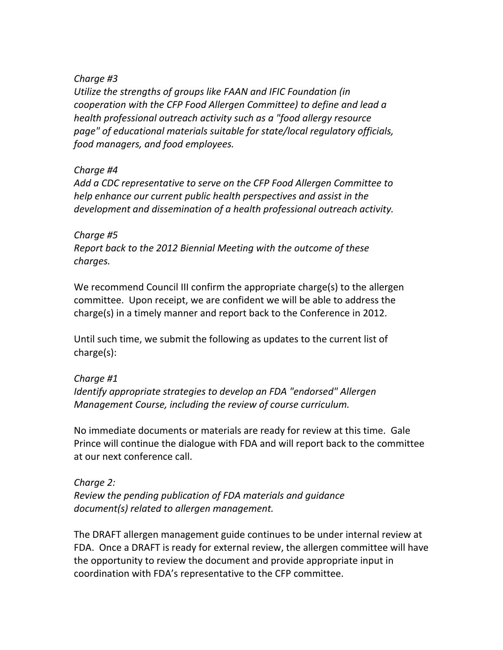### *Charge #3*

*Utilize the strengths of groups like FAAN and IFIC Foundation (in cooperation with the CFP Food Allergen Committee) to define and lead a health professional outreach activity such as a "food allergy resource page" of educational materials suitable for state/local regulatory officials, food managers, and food employees.*

### *Charge #4*

*Add a CDC representative to serve on the CFP Food Allergen Committee to help enhance our current public health perspectives and assist in the development and dissemination of a health professional outreach activity.*

#### *Charge #5*

*Report back to the 2012 Biennial Meeting with the outcome of these charges.*

We recommend Council III confirm the appropriate charge(s) to the allergen committee. Upon receipt, we are confident we will be able to address the charge(s) in a timely manner and report back to the Conference in 2012.

Until such time, we submit the following as updates to the current list of charge(s):

# *Charge #1*

*Identify appropriate strategies to develop an FDA "endorsed" Allergen Management Course, including the review of course curriculum.*

No immediate documents or materials are ready for review at this time. Gale Prince will continue the dialogue with FDA and will report back to the committee at our next conference call.

#### *Charge 2:*

*Review the pending publication of FDA materials and guidance document(s) related to allergen management.*

The DRAFT allergen management guide continues to be under internal review at FDA. Once a DRAFT is ready for external review, the allergen committee will have the opportunity to review the document and provide appropriate input in coordination with FDA's representative to the CFP committee.